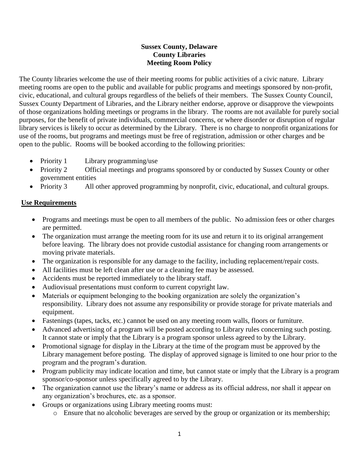## **Sussex County, Delaware County Libraries Meeting Room Policy**

The County libraries welcome the use of their meeting rooms for public activities of a civic nature. Library meeting rooms are open to the public and available for public programs and meetings sponsored by non-profit, civic, educational, and cultural groups regardless of the beliefs of their members. The Sussex County Council, Sussex County Department of Libraries, and the Library neither endorse, approve or disapprove the viewpoints of those organizations holding meetings or programs in the library. The rooms are not available for purely social purposes, for the benefit of private individuals, commercial concerns, or where disorder or disruption of regular library services is likely to occur as determined by the Library. There is no charge to nonprofit organizations for use of the rooms, but programs and meetings must be free of registration, admission or other charges and be open to the public. Rooms will be booked according to the following priorities:

- Priority 1 Library programming/use
- Priority 2 Official meetings and programs sponsored by or conducted by Sussex County or other government entities
- Priority 3 All other approved programming by nonprofit, civic, educational, and cultural groups.

# **Use Requirements**

- Programs and meetings must be open to all members of the public. No admission fees or other charges are permitted.
- The organization must arrange the meeting room for its use and return it to its original arrangement before leaving. The library does not provide custodial assistance for changing room arrangements or moving private materials.
- The organization is responsible for any damage to the facility, including replacement/repair costs.
- All facilities must be left clean after use or a cleaning fee may be assessed.
- Accidents must be reported immediately to the library staff.
- Audiovisual presentations must conform to current copyright law.
- Materials or equipment belonging to the booking organization are solely the organization's responsibility. Library does not assume any responsibility or provide storage for private materials and equipment.
- Fastenings (tapes, tacks, etc.) cannot be used on any meeting room walls, floors or furniture.
- Advanced advertising of a program will be posted according to Library rules concerning such posting. It cannot state or imply that the Library is a program sponsor unless agreed to by the Library.
- Promotional signage for display in the Library at the time of the program must be approved by the Library management before posting. The display of approved signage is limited to one hour prior to the program and the program's duration.
- Program publicity may indicate location and time, but cannot state or imply that the Library is a program sponsor/co-sponsor unless specifically agreed to by the Library.
- The organization cannot use the library's name or address as its official address, nor shall it appear on any organization's brochures, etc. as a sponsor.
- Groups or organizations using Library meeting rooms must:
	- o Ensure that no alcoholic beverages are served by the group or organization or its membership;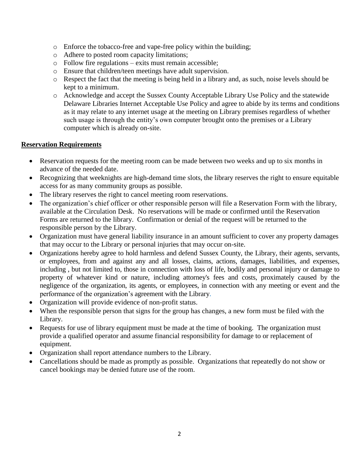- o Enforce the tobacco-free and vape-free policy within the building;
- o Adhere to posted room capacity limitations;
- o Follow fire regulations exits must remain accessible;
- o Ensure that children/teen meetings have adult supervision.
- o Respect the fact that the meeting is being held in a library and, as such, noise levels should be kept to a minimum.
- o Acknowledge and accept the Sussex County Acceptable Library Use Policy and the statewide Delaware Libraries Internet Acceptable Use Policy and agree to abide by its terms and conditions as it may relate to any internet usage at the meeting on Library premises regardless of whether such usage is through the entity's own computer brought onto the premises or a Library computer which is already on-site.

#### **Reservation Requirements**

- Reservation requests for the meeting room can be made between two weeks and up to six months in advance of the needed date.
- Recognizing that weeknights are high-demand time slots, the library reserves the right to ensure equitable access for as many community groups as possible.
- The library reserves the right to cancel meeting room reservations.
- The organization's chief officer or other responsible person will file a Reservation Form with the library, available at the Circulation Desk. No reservations will be made or confirmed until the Reservation Forms are returned to the library. Confirmation or denial of the request will be returned to the responsible person by the Library.
- Organization must have general liability insurance in an amount sufficient to cover any property damages that may occur to the Library or personal injuries that may occur on-site.
- Organizations hereby agree to hold harmless and defend Sussex County, the Library, their agents, servants, or employees, from and against any and all losses, claims, actions, damages, liabilities, and expenses, including , but not limited to, those in connection with loss of life, bodily and personal injury or damage to property of whatever kind or nature, including attorney's fees and costs, proximately caused by the negligence of the organization, its agents, or employees, in connection with any meeting or event and the performance of the organization's agreement with the Library.
- Organization will provide evidence of non-profit status.
- When the responsible person that signs for the group has changes, a new form must be filed with the Library.
- Requests for use of library equipment must be made at the time of booking. The organization must provide a qualified operator and assume financial responsibility for damage to or replacement of equipment.
- Organization shall report attendance numbers to the Library.
- Cancellations should be made as promptly as possible. Organizations that repeatedly do not show or cancel bookings may be denied future use of the room.